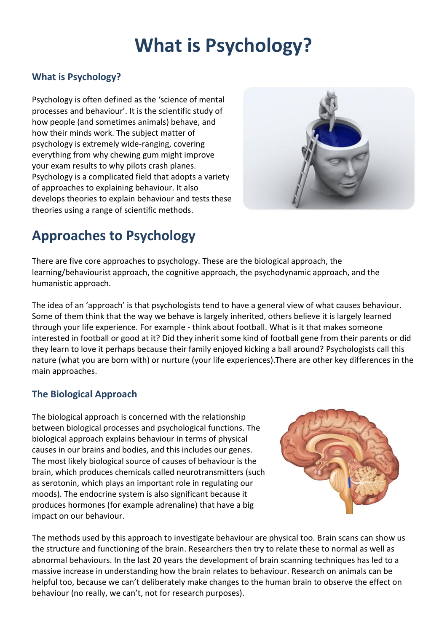# **What is Psychology?**

# **What is Psychology?**

Psychology is often defined as the 'science of mental processes and behaviour'. It is the scientific study of how people (and sometimes animals) behave, and how their minds work. The subject matter of psychology is extremely wide-ranging, covering everything from why chewing gum might improve your exam results to why pilots crash planes. Psychology is a complicated field that adopts a variety of approaches to explaining behaviour. It also develops theories to explain behaviour and tests these theories using a range of scientific methods.



# **Approaches to Psychology**

There are five core approaches to psychology. These are the biological approach, the learning/behaviourist approach, the cognitive approach, the psychodynamic approach, and the humanistic approach.

The idea of an 'approach' is that psychologists tend to have a general view of what causes behaviour. Some of them think that the way we behave is largely inherited, others believe it is largely learned through your life experience. For example - think about football. What is it that makes someone interested in football or good at it? Did they inherit some kind of football gene from their parents or did they learn to love it perhaps because their family enjoyed kicking a ball around? Psychologists call this nature (what you are born with) or nurture (your life experiences).There are other key differences in the main approaches.

# **The Biological Approach**

The biological approach is concerned with the relationship between biological processes and psychological functions. The biological approach explains behaviour in terms of physical causes in our brains and bodies, and this includes our genes. The most likely biological source of causes of behaviour is the brain, which produces chemicals called neurotransmitters (such as serotonin, which plays an important role in regulating our moods). The endocrine system is also significant because it produces hormones (for example adrenaline) that have a big impact on our behaviour.



The methods used by this approach to investigate behaviour are physical too. Brain scans can show us the structure and functioning of the brain. Researchers then try to relate these to normal as well as abnormal behaviours. In the last 20 years the development of brain scanning techniques has led to a massive increase in understanding how the brain relates to behaviour. Research on animals can be helpful too, because we can't deliberately make changes to the human brain to observe the effect on behaviour (no really, we can't, not for research purposes).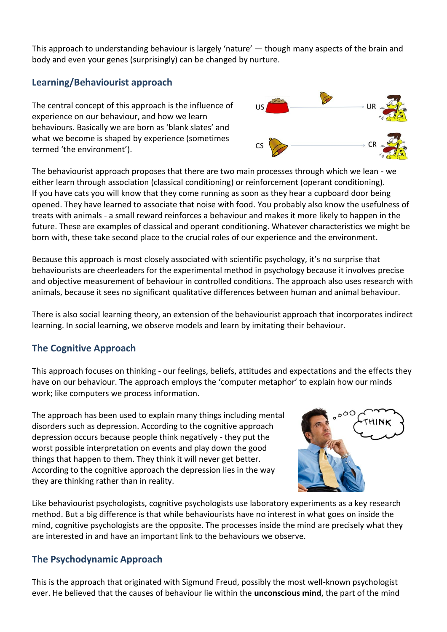This approach to understanding behaviour is largely 'nature' — though many aspects of the brain and body and even your genes (surprisingly) can be changed by nurture.

### **Learning/Behaviourist approach**

The central concept of this approach is the influence of experience on our behaviour, and how we learn behaviours. Basically we are born as 'blank slates' and what we become is shaped by experience (sometimes termed 'the environment').



The behaviourist approach proposes that there are two main processes through which we lean - we either learn through association (classical conditioning) or reinforcement (operant conditioning). If you have cats you will know that they come running as soon as they hear a cupboard door being opened. They have learned to associate that noise with food. You probably also know the usefulness of treats with animals - a small reward reinforces a behaviour and makes it more likely to happen in the future. These are examples of classical and operant conditioning. Whatever characteristics we might be born with, these take second place to the crucial roles of our experience and the environment.

Because this approach is most closely associated with scientific psychology, it's no surprise that behaviourists are cheerleaders for the experimental method in psychology because it involves precise and objective measurement of behaviour in controlled conditions. The approach also uses research with animals, because it sees no significant qualitative differences between human and animal behaviour.

There is also social learning theory, an extension of the behaviourist approach that incorporates indirect learning. In social learning, we observe models and learn by imitating their behaviour.

# **The Cognitive Approach**

This approach focuses on thinking - our feelings, beliefs, attitudes and expectations and the effects they have on our behaviour. The approach employs the 'computer metaphor' to explain how our minds work; like computers we process information.

The approach has been used to explain many things including mental disorders such as depression. According to the cognitive approach depression occurs because people think negatively - they put the worst possible interpretation on events and play down the good things that happen to them. They think it will never get better. According to the cognitive approach the depression lies in the way they are thinking rather than in reality.



Like behaviourist psychologists, cognitive psychologists use laboratory experiments as a key research method. But a big difference is that while behaviourists have no interest in what goes on inside the mind, cognitive psychologists are the opposite. The processes inside the mind are precisely what they are interested in and have an important link to the behaviours we observe.

# **The Psychodynamic Approach**

This is the approach that originated with Sigmund Freud, possibly the most well-known psychologist ever. He believed that the causes of behaviour lie within the **unconscious mind**, the part of the mind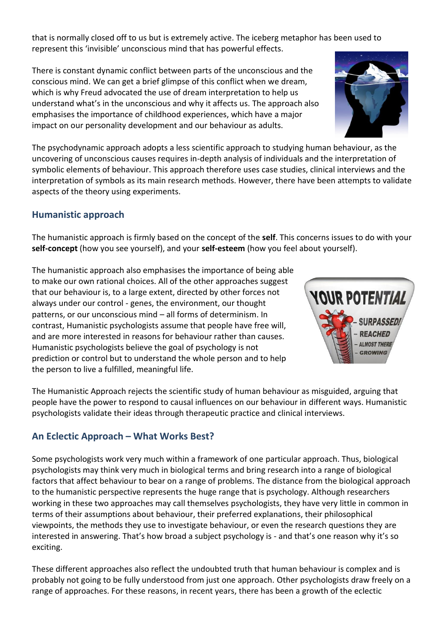that is normally closed off to us but is extremely active. The iceberg metaphor has been used to represent this 'invisible' unconscious mind that has powerful effects.

There is constant dynamic conflict between parts of the unconscious and the conscious mind. We can get a brief glimpse of this conflict when we dream, which is why Freud advocated the use of dream interpretation to help us understand what's in the unconscious and why it affects us. The approach also emphasises the importance of childhood experiences, which have a major impact on our personality development and our behaviour as adults.

The psychodynamic approach adopts a less scientific approach to studying human behaviour, as the uncovering of unconscious causes requires in-depth analysis of individuals and the interpretation of symbolic elements of behaviour. This approach therefore uses case studies, clinical interviews and the interpretation of symbols as its main research methods. However, there have been attempts to validate aspects of the theory using experiments.

# **Humanistic approach**

The humanistic approach is firmly based on the concept of the **self**. This concerns issues to do with your **self-concept** (how you see yourself), and your **self-esteem** (how you feel about yourself).

The humanistic approach also emphasises the importance of being able to make our own rational choices. All of the other approaches suggest that our behaviour is, to a large extent, directed by other forces not always under our control - genes, the environment, our thought patterns, or our unconscious mind – all forms of determinism. In contrast, Humanistic psychologists assume that people have free will, and are more interested in reasons for behaviour rather than causes. Humanistic psychologists believe the goal of psychology is not prediction or control but to understand the whole person and to help the person to live a fulfilled, meaningful life.

The Humanistic Approach rejects the scientific study of human behaviour as misguided, arguing that people have the power to respond to causal influences on our behaviour in different ways. Humanistic psychologists validate their ideas through therapeutic practice and clinical interviews.

# **An Eclectic Approach – What Works Best?**

Some psychologists work very much within a framework of one particular approach. Thus, biological psychologists may think very much in biological terms and bring research into a range of biological factors that affect behaviour to bear on a range of problems. The distance from the biological approach to the humanistic perspective represents the huge range that is psychology. Although researchers working in these two approaches may call themselves psychologists, they have very little in common in terms of their assumptions about behaviour, their preferred explanations, their philosophical viewpoints, the methods they use to investigate behaviour, or even the research questions they are interested in answering. That's how broad a subject psychology is - and that's one reason why it's so exciting.

These different approaches also reflect the undoubted truth that human behaviour is complex and is probably not going to be fully understood from just one approach. Other psychologists draw freely on a range of approaches. For these reasons, in recent years, there has been a growth of the eclectic



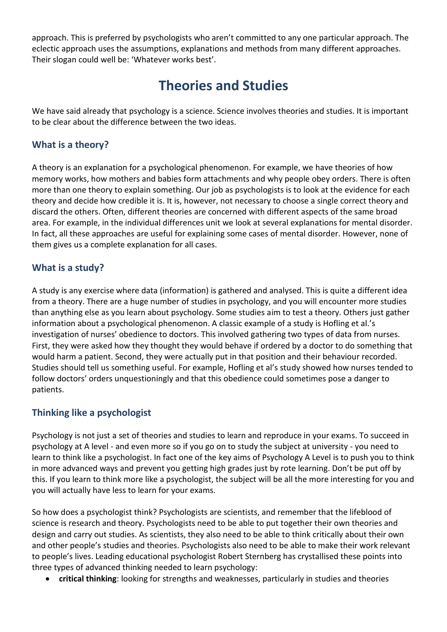approach. This is preferred by psychologists who aren't committed to any one particular approach. The eclectic approach uses the assumptions, explanations and methods from many different approaches. Their slogan could well be: 'Whatever works best'.

# **Theories and Studies**

We have said already that psychology is a science. Science involves theories and studies. It is important to be clear about the difference between the two ideas.

### **What is a theory?**

A theory is an explanation for a psychological phenomenon. For example, we have theories of how memory works, how mothers and babies form attachments and why people obey orders. There is often more than one theory to explain something. Our job as psychologists is to look at the evidence for each theory and decide how credible it is. It is, however, not necessary to choose a single correct theory and discard the others. Often, different theories are concerned with different aspects of the same broad area. For example, in the individual differences unit we look at several explanations for mental disorder. In fact, all these approaches are useful for explaining some cases of mental disorder. However, none of them gives us a complete explanation for all cases.

#### **What is a study?**

A study is any exercise where data (information) is gathered and analysed. This is quite a different idea from a theory. There are a huge number of studies in psychology, and you will encounter more studies than anything else as you learn about psychology. Some studies aim to test a theory. Others just gather information about a psychological phenomenon. A classic example of a study is Hofling et al.'s investigation of nurses' obedience to doctors. This involved gathering two types of data from nurses. First, they were asked how they thought they would behave if ordered by a doctor to do something that would harm a patient. Second, they were actually put in that position and their behaviour recorded. Studies should tell us something useful. For example, Hofling et al's study showed how nurses tended to follow doctors' orders unquestioningly and that this obedience could sometimes pose a danger to patients.

#### **Thinking like a psychologist**

Psychology is not just a set of theories and studies to learn and reproduce in your exams. To succeed in psychology at A level - and even more so if you go on to study the subject at university - you need to learn to think like a psychologist. In fact one of the key aims of Psychology A Level is to push you to think in more advanced ways and prevent you getting high grades just by rote learning. Don't be put off by this. If you learn to think more like a psychologist, the subject will be all the more interesting for you and you will actually have less to learn for your exams.

So how does a psychologist think? Psychologists are scientists, and remember that the lifeblood of science is research and theory. Psychologists need to be able to put together their own theories and design and carry out studies. As scientists, they also need to be able to think critically about their own and other people's studies and theories. Psychologists also need to be able to make their work relevant to people's lives. Leading educational psychologist Robert Sternberg has crystallised these points into three types of advanced thinking needed to learn psychology:

**critical thinking**: looking for strengths and weaknesses, particularly in studies and theories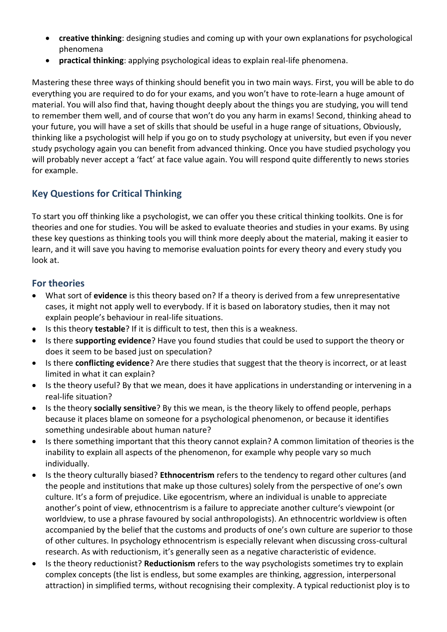- **creative thinking**: designing studies and coming up with your own explanations for psychological phenomena
- **practical thinking**: applying psychological ideas to explain real-life phenomena.

Mastering these three ways of thinking should benefit you in two main ways. First, you will be able to do everything you are required to do for your exams, and you won't have to rote-learn a huge amount of material. You will also find that, having thought deeply about the things you are studying, you will tend to remember them well, and of course that won't do you any harm in exams! Second, thinking ahead to your future, you will have a set of skills that should be useful in a huge range of situations, Obviously, thinking like a psychologist will help if you go on to study psychology at university, but even if you never study psychology again you can benefit from advanced thinking. Once you have studied psychology you will probably never accept a 'fact' at face value again. You will respond quite differently to news stories for example.

# **Key Questions for Critical Thinking**

To start you off thinking like a psychologist, we can offer you these critical thinking toolkits. One is for theories and one for studies. You will be asked to evaluate theories and studies in your exams. By using these key questions as thinking tools you will think more deeply about the material, making it easier to learn, and it will save you having to memorise evaluation points for every theory and every study you look at.

#### **For theories**

- What sort of **evidence** is this theory based on? If a theory is derived from a few unrepresentative cases, it might not apply well to everybody. If it is based on laboratory studies, then it may not explain people's behaviour in real-life situations.
- Is this theory **testable**? If it is difficult to test, then this is a weakness.
- Is there **supporting evidence**? Have you found studies that could be used to support the theory or does it seem to be based just on speculation?
- Is there **conflicting evidence**? Are there studies that suggest that the theory is incorrect, or at least limited in what it can explain?
- Is the theory useful? By that we mean, does it have applications in understanding or intervening in a real-life situation?
- Is the theory **socially sensitive**? By this we mean, is the theory likely to offend people, perhaps because it places blame on someone for a psychological phenomenon, or because it identifies something undesirable about human nature?
- Is there something important that this theory cannot explain? A common limitation of theories is the inability to explain all aspects of the phenomenon, for example why people vary so much individually.
- Is the theory culturally biased? **Ethnocentrism** refers to the tendency to regard other cultures (and the people and institutions that make up those cultures) solely from the perspective of one's own culture. It's a form of prejudice. Like egocentrism, where an individual is unable to appreciate another's point of view, ethnocentrism is a failure to appreciate another culture's viewpoint (or worldview, to use a phrase favoured by social anthropologists). An ethnocentric worldview is often accompanied by the belief that the customs and products of one's own culture are superior to those of other cultures. In psychology ethnocentrism is especially relevant when discussing cross-cultural research. As with reductionism, it's generally seen as a negative characteristic of evidence.
- Is the theory reductionist? **Reductionism** refers to the way psychologists sometimes try to explain complex concepts (the list is endless, but some examples are thinking, aggression, interpersonal attraction) in simplified terms, without recognising their complexity. A typical reductionist ploy is to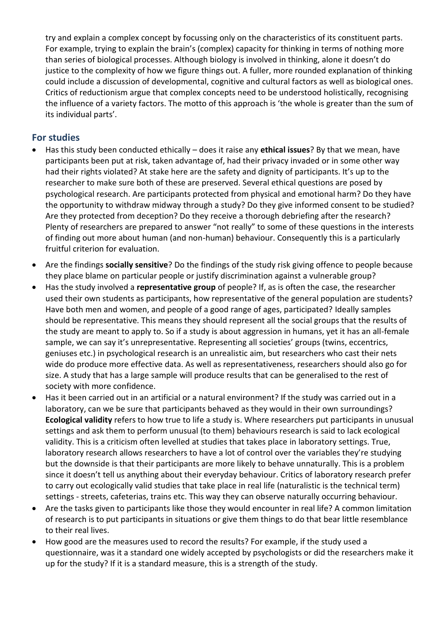try and explain a complex concept by focussing only on the characteristics of its constituent parts. For example, trying to explain the brain's (complex) capacity for thinking in terms of nothing more than series of biological processes. Although biology is involved in thinking, alone it doesn't do justice to the complexity of how we figure things out. A fuller, more rounded explanation of thinking could include a discussion of developmental, cognitive and cultural factors as well as biological ones. Critics of reductionism argue that complex concepts need to be understood holistically, recognising the influence of a variety factors. The motto of this approach is 'the whole is greater than the sum of its individual parts'.

#### **For studies**

- Has this study been conducted ethically does it raise any **ethical issues**? By that we mean, have participants been put at risk, taken advantage of, had their privacy invaded or in some other way had their rights violated? At stake here are the safety and dignity of participants. It's up to the researcher to make sure both of these are preserved. Several ethical questions are posed by psychological research. Are participants protected from physical and emotional harm? Do they have the opportunity to withdraw midway through a study? Do they give informed consent to be studied? Are they protected from deception? Do they receive a thorough debriefing after the research? Plenty of researchers are prepared to answer "not really" to some of these questions in the interests of finding out more about human (and non-human) behaviour. Consequently this is a particularly fruitful criterion for evaluation.
- Are the findings **socially sensitive**? Do the findings of the study risk giving offence to people because they place blame on particular people or justify discrimination against a vulnerable group?
- Has the study involved a **representative group** of people? If, as is often the case, the researcher used their own students as participants, how representative of the general population are students? Have both men and women, and people of a good range of ages, participated? Ideally samples should be representative. This means they should represent all the social groups that the results of the study are meant to apply to. So if a study is about aggression in humans, yet it has an all-female sample, we can say it's unrepresentative. Representing all societies' groups (twins, eccentrics, geniuses etc.) in psychological research is an unrealistic aim, but researchers who cast their nets wide do produce more effective data. As well as representativeness, researchers should also go for size. A study that has a large sample will produce results that can be generalised to the rest of society with more confidence.
- Has it been carried out in an artificial or a natural environment? If the study was carried out in a laboratory, can we be sure that participants behaved as they would in their own surroundings? **Ecological validity** refers to how true to life a study is. Where researchers put participants in unusual settings and ask them to perform unusual (to them) behaviours research is said to lack ecological validity. This is a criticism often levelled at studies that takes place in laboratory settings. True, laboratory research allows researchers to have a lot of control over the variables they're studying but the downside is that their participants are more likely to behave unnaturally. This is a problem since it doesn't tell us anything about their everyday behaviour. Critics of laboratory research prefer to carry out ecologically valid studies that take place in real life (naturalistic is the technical term) settings - streets, cafeterias, trains etc. This way they can observe naturally occurring behaviour.
- Are the tasks given to participants like those they would encounter in real life? A common limitation of research is to put participants in situations or give them things to do that bear little resemblance to their real lives.
- How good are the measures used to record the results? For example, if the study used a questionnaire, was it a standard one widely accepted by psychologists or did the researchers make it up for the study? If it is a standard measure, this is a strength of the study.